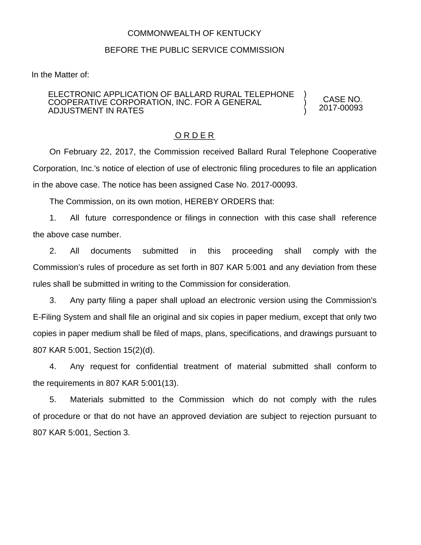## COMMONWEALTH OF KENTUCKY

## BEFORE THE PUBLIC SERVICE COMMISSION

In the Matter of:

## ELECTRONIC APPLICATION OF BALLARD RURAL TELEPHONE COOPERATIVE CORPORATION, INC. FOR A GENERAL ADJUSTMENT IN RATES

CASE NO. 2017-00093

) ) )

## O R D E R

On February 22, 2017, the Commission received Ballard Rural Telephone Cooperative Corporation, Inc.'s notice of election of use of electronic filing procedures to file an application in the above case. The notice has been assigned Case No. 2017-00093.

The Commission, on its own motion, HEREBY ORDERS that:

1. All future correspondence or filings in connection with this case shall reference the above case number.

2. All documents submitted in this proceeding shall comply with the Commission's rules of procedure as set forth in 807 KAR 5:001 and any deviation from these rules shall be submitted in writing to the Commission for consideration.

3. Any party filing a paper shall upload an electronic version using the Commission's E-Filing System and shall file an original and six copies in paper medium, except that only two copies in paper medium shall be filed of maps, plans, specifications, and drawings pursuant to 807 KAR 5:001, Section 15(2)(d).

4. Any request for confidential treatment of material submitted shall conform to the requirements in 807 KAR 5:001(13).

5. Materials submitted to the Commission which do not comply with the rules of procedure or that do not have an approved deviation are subject to rejection pursuant to 807 KAR 5:001, Section 3.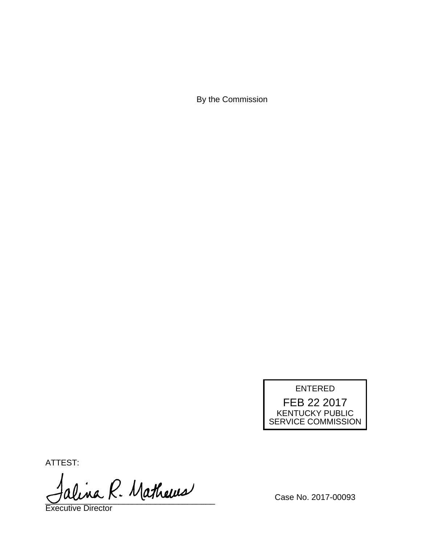By the Commission



ATTEST:

alina R. Mathews

Executive Director

Case No. 2017-00093